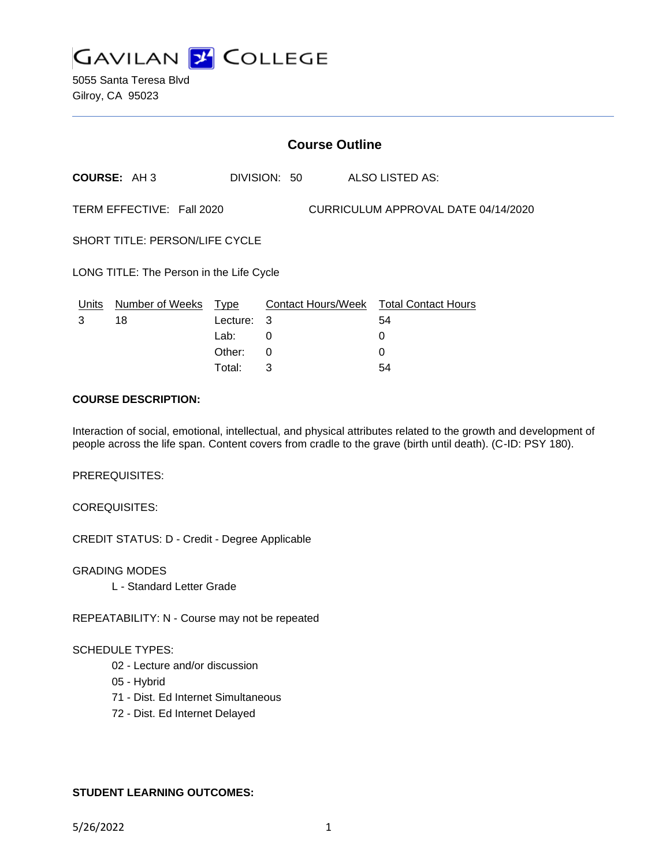

|                                                                  | <b>Course Outline</b>                    |                  |              |  |                                                   |  |
|------------------------------------------------------------------|------------------------------------------|------------------|--------------|--|---------------------------------------------------|--|
|                                                                  | <b>COURSE: AH3</b>                       |                  | DIVISION: 50 |  | ALSO LISTED AS:                                   |  |
| TERM EFFECTIVE: Fall 2020<br>CURRICULUM APPROVAL DATE 04/14/2020 |                                          |                  |              |  |                                                   |  |
| SHORT TITLE: PERSON/LIFE CYCLE                                   |                                          |                  |              |  |                                                   |  |
|                                                                  | LONG TITLE: The Person in the Life Cycle |                  |              |  |                                                   |  |
| Units<br>3                                                       | Number of Weeks Type<br>18               | Lecture:<br>Lab: | 3<br>0       |  | Contact Hours/Week Total Contact Hours<br>54<br>0 |  |
|                                                                  |                                          | Other:           | 0            |  | 0                                                 |  |

Total: 3 54

#### **COURSE DESCRIPTION:**

Interaction of social, emotional, intellectual, and physical attributes related to the growth and development of people across the life span. Content covers from cradle to the grave (birth until death). (C-ID: PSY 180).

PREREQUISITES:

COREQUISITES:

CREDIT STATUS: D - Credit - Degree Applicable

GRADING MODES L - Standard Letter Grade

REPEATABILITY: N - Course may not be repeated

### SCHEDULE TYPES:

- 02 Lecture and/or discussion
- 05 Hybrid
- 71 Dist. Ed Internet Simultaneous
- 72 Dist. Ed Internet Delayed

### **STUDENT LEARNING OUTCOMES:**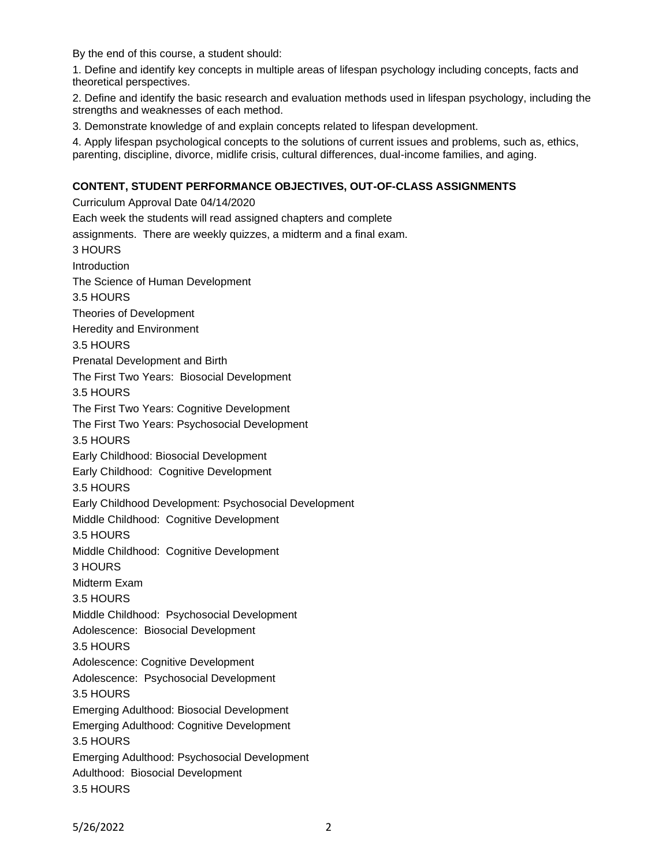By the end of this course, a student should:

1. Define and identify key concepts in multiple areas of lifespan psychology including concepts, facts and theoretical perspectives.

2. Define and identify the basic research and evaluation methods used in lifespan psychology, including the strengths and weaknesses of each method.

3. Demonstrate knowledge of and explain concepts related to lifespan development.

4. Apply lifespan psychological concepts to the solutions of current issues and problems, such as, ethics, parenting, discipline, divorce, midlife crisis, cultural differences, dual-income families, and aging.

### **CONTENT, STUDENT PERFORMANCE OBJECTIVES, OUT-OF-CLASS ASSIGNMENTS**

Curriculum Approval Date 04/14/2020 Each week the students will read assigned chapters and complete assignments. There are weekly quizzes, a midterm and a final exam. 3 HOURS **Introduction** The Science of Human Development 3.5 HOURS Theories of Development Heredity and Environment 3.5 HOURS Prenatal Development and Birth The First Two Years: Biosocial Development 3.5 HOURS The First Two Years: Cognitive Development The First Two Years: Psychosocial Development 3.5 HOURS Early Childhood: Biosocial Development Early Childhood: Cognitive Development 3.5 HOURS Early Childhood Development: Psychosocial Development Middle Childhood: Cognitive Development 3.5 HOURS Middle Childhood: Cognitive Development 3 HOURS Midterm Exam 3.5 HOURS Middle Childhood: Psychosocial Development Adolescence: Biosocial Development 3.5 HOURS Adolescence: Cognitive Development Adolescence: Psychosocial Development 3.5 HOURS Emerging Adulthood: Biosocial Development Emerging Adulthood: Cognitive Development 3.5 HOURS Emerging Adulthood: Psychosocial Development Adulthood: Biosocial Development 3.5 HOURS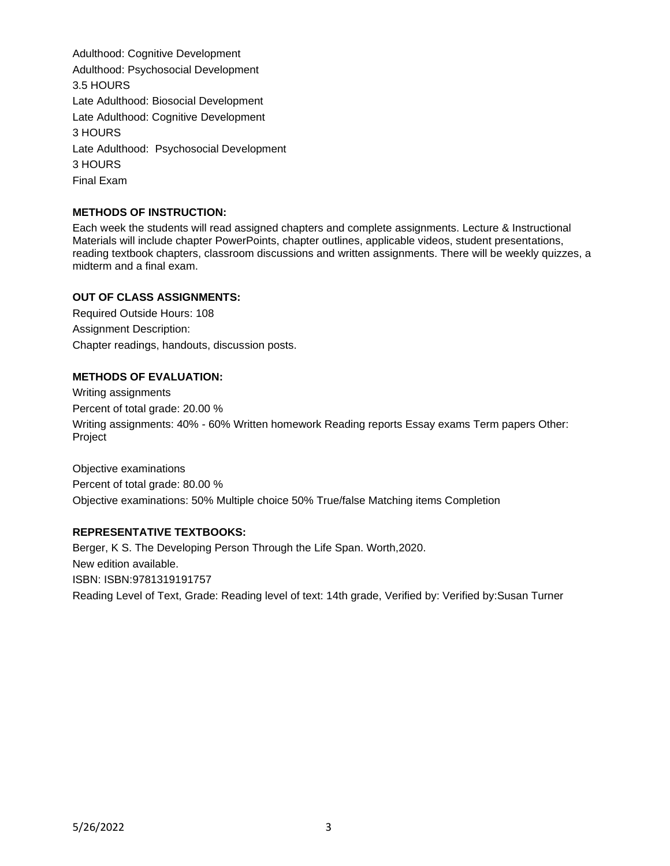Adulthood: Cognitive Development Adulthood: Psychosocial Development 3.5 HOURS Late Adulthood: Biosocial Development Late Adulthood: Cognitive Development 3 HOURS Late Adulthood: Psychosocial Development 3 HOURS Final Exam

# **METHODS OF INSTRUCTION:**

Each week the students will read assigned chapters and complete assignments. Lecture & Instructional Materials will include chapter PowerPoints, chapter outlines, applicable videos, student presentations, reading textbook chapters, classroom discussions and written assignments. There will be weekly quizzes, a midterm and a final exam.

### **OUT OF CLASS ASSIGNMENTS:**

Required Outside Hours: 108 Assignment Description: Chapter readings, handouts, discussion posts.

# **METHODS OF EVALUATION:**

Writing assignments Percent of total grade: 20.00 % Writing assignments: 40% - 60% Written homework Reading reports Essay exams Term papers Other: Project

Objective examinations Percent of total grade: 80.00 % Objective examinations: 50% Multiple choice 50% True/false Matching items Completion

### **REPRESENTATIVE TEXTBOOKS:**

Berger, K S. The Developing Person Through the Life Span. Worth,2020. New edition available. ISBN: ISBN:9781319191757 Reading Level of Text, Grade: Reading level of text: 14th grade, Verified by: Verified by:Susan Turner